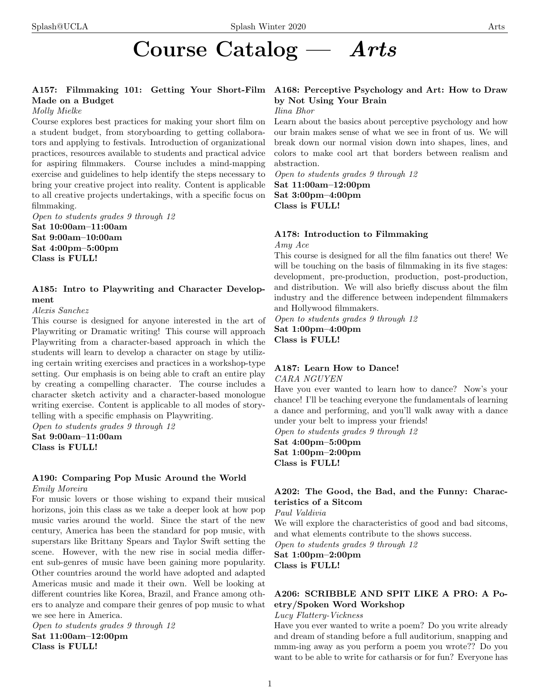# Course Catalog — Arts

# Made on a Budget

### Molly Mielke

Course explores best practices for making your short film on a student budget, from storyboarding to getting collaborators and applying to festivals. Introduction of organizational practices, resources available to students and practical advice for aspiring filmmakers. Course includes a mind-mapping exercise and guidelines to help identify the steps necessary to bring your creative project into reality. Content is applicable to all creative projects undertakings, with a specific focus on filmmaking.

Open to students grades 9 through 12 Sat 10:00am–11:00am Sat 9:00am–10:00am Sat 4:00pm–5:00pm Class is FULL!

# A185: Intro to Playwriting and Character Development

# Alexis Sanchez

This course is designed for anyone interested in the art of Playwriting or Dramatic writing! This course will approach Playwriting from a character-based approach in which the students will learn to develop a character on stage by utilizing certain writing exercises and practices in a workshop-type setting. Our emphasis is on being able to craft an entire play by creating a compelling character. The course includes a character sketch activity and a character-based monologue writing exercise. Content is applicable to all modes of storytelling with a specific emphasis on Playwriting.

Open to students grades 9 through 12 Sat 9:00am–11:00am Class is FULL!

# A190: Comparing Pop Music Around the World

Emily Moreira

For music lovers or those wishing to expand their musical horizons, join this class as we take a deeper look at how pop music varies around the world. Since the start of the new century, America has been the standard for pop music, with superstars like Brittany Spears and Taylor Swift setting the scene. However, with the new rise in social media different sub-genres of music have been gaining more popularity. Other countries around the world have adopted and adapted Americas music and made it their own. Well be looking at different countries like Korea, Brazil, and France among others to analyze and compare their genres of pop music to what we see here in America.

Open to students grades 9 through 12 Sat 11:00am–12:00pm Class is FULL!

## A157: Filmmaking 101: Getting Your Short-Film A168: Perceptive Psychology and Art: How to Draw by Not Using Your Brain Ilina Bhor

Learn about the basics about perceptive psychology and how our brain makes sense of what we see in front of us. We will break down our normal vision down into shapes, lines, and colors to make cool art that borders between realism and abstraction.

Open to students grades 9 through 12 Sat 11:00am–12:00pm Sat 3:00pm–4:00pm Class is FULL!

# A178: Introduction to Filmmaking

Amy Ace

This course is designed for all the film fanatics out there! We will be touching on the basis of filmmaking in its five stages: development, pre-production, production, post-production, and distribution. We will also briefly discuss about the film industry and the difference between independent filmmakers and Hollywood filmmakers.

Open to students grades 9 through 12 Sat 1:00pm–4:00pm Class is FULL!

# A187: Learn How to Dance!

CARA NGUYEN

Have you ever wanted to learn how to dance? Now's your chance! I'll be teaching everyone the fundamentals of learning a dance and performing, and you'll walk away with a dance under your belt to impress your friends!

Open to students grades 9 through 12 Sat 4:00pm–5:00pm Sat 1:00pm–2:00pm Class is FULL!

# A202: The Good, the Bad, and the Funny: Characteristics of a Sitcom

Paul Valdivia

We will explore the characteristics of good and bad sitcoms, and what elements contribute to the shows success.

Open to students grades 9 through 12

Sat 1:00pm–2:00pm Class is FULL!

# A206: SCRIBBLE AND SPIT LIKE A PRO: A Poetry/Spoken Word Workshop

### Lucy Flattery-Vickness

Have you ever wanted to write a poem? Do you write already and dream of standing before a full auditorium, snapping and mmm-ing away as you perform a poem you wrote?? Do you want to be able to write for catharsis or for fun? Everyone has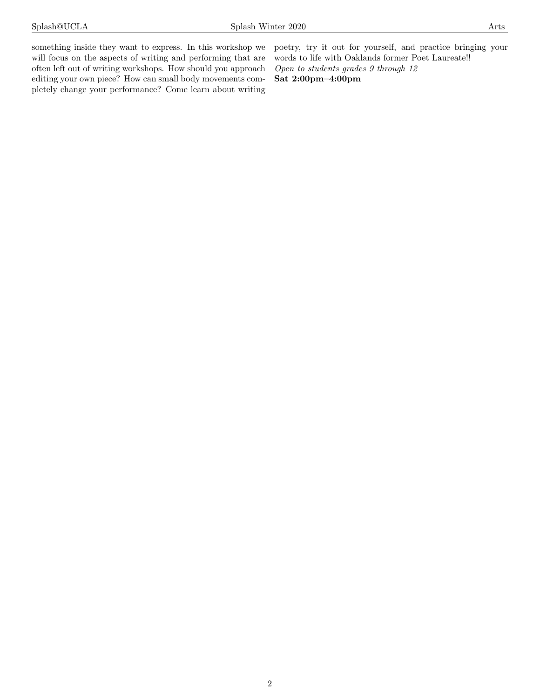something inside they want to express. In this workshop we will focus on the aspects of writing and performing that are often left out of writing workshops. How should you approach editing your own piece? How can small body movements completely change your performance? Come learn about writing poetry, try it out for yourself, and practice bringing your words to life with Oaklands former Poet Laureate!! Open to students grades 9 through 12 Sat 2:00pm–4:00pm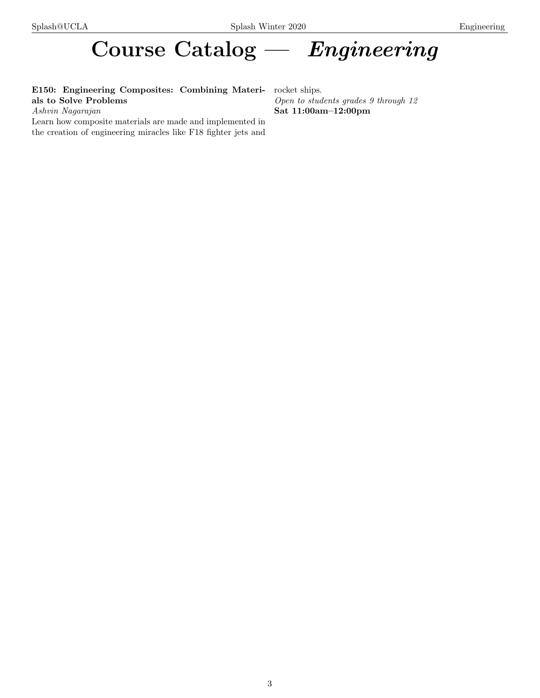# Course Catalog — Engineering

E150: Engineering Composites: Combining Materials to Solve Problems

Ashvin Nagarajan

Learn how composite materials are made and implemented in the creation of engineering miracles like F18 fighter jets and

rocket ships. Open to students grades 9 through 12 Sat 11:00am–12:00pm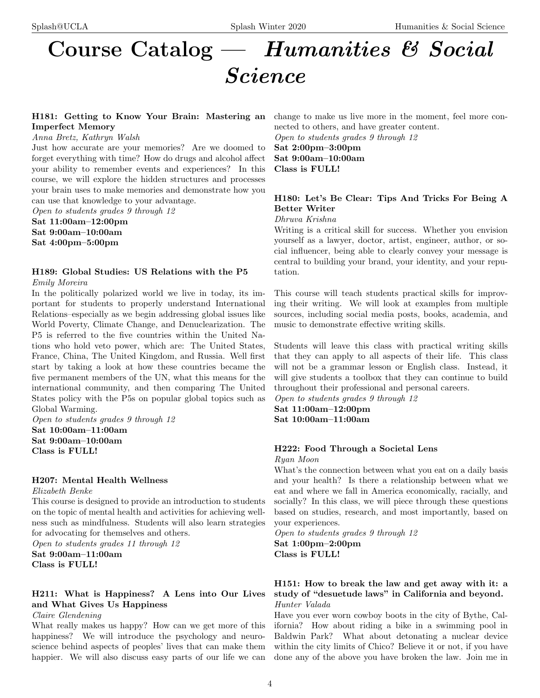# Course Catalog — Humanities & Social Science

# H181: Getting to Know Your Brain: Mastering an Imperfect Memory

### Anna Bretz, Kathryn Walsh

Just how accurate are your memories? Are we doomed to forget everything with time? How do drugs and alcohol affect your ability to remember events and experiences? In this course, we will explore the hidden structures and processes your brain uses to make memories and demonstrate how you can use that knowledge to your advantage.

Open to students grades 9 through 12

Sat 11:00am–12:00pm Sat 9:00am–10:00am Sat 4:00pm–5:00pm

# H189: Global Studies: US Relations with the P5

Emily Moreira

In the politically polarized world we live in today, its important for students to properly understand International Relations–especially as we begin addressing global issues like World Poverty, Climate Change, and Denuclearization. The P5 is referred to the five countries within the United Nations who hold veto power, which are: The United States, France, China, The United Kingdom, and Russia. Well first start by taking a look at how these countries became the five permanent members of the UN, what this means for the international community, and then comparing The United States policy with the P5s on popular global topics such as Global Warming.

Open to students grades 9 through 12 Sat 10:00am–11:00am Sat 9:00am–10:00am Class is FULL!

# H207: Mental Health Wellness

Elizabeth Benke

This course is designed to provide an introduction to students on the topic of mental health and activities for achieving wellness such as mindfulness. Students will also learn strategies for advocating for themselves and others.

Open to students grades 11 through 12 Sat 9:00am–11:00am Class is FULL!

# H211: What is Happiness? A Lens into Our Lives and What Gives Us Happiness

Claire Glendening

What really makes us happy? How can we get more of this happiness? We will introduce the psychology and neuroscience behind aspects of peoples' lives that can make them happier. We will also discuss easy parts of our life we can change to make us live more in the moment, feel more connected to others, and have greater content. Open to students grades 9 through 12

Sat 2:00pm–3:00pm Sat 9:00am–10:00am Class is FULL!

# H180: Let's Be Clear: Tips And Tricks For Being A Better Writer

Dhruva Krishna

Writing is a critical skill for success. Whether you envision yourself as a lawyer, doctor, artist, engineer, author, or social influencer, being able to clearly convey your message is central to building your brand, your identity, and your reputation.

This course will teach students practical skills for improving their writing. We will look at examples from multiple sources, including social media posts, books, academia, and music to demonstrate effective writing skills.

Students will leave this class with practical writing skills that they can apply to all aspects of their life. This class will not be a grammar lesson or English class. Instead, it will give students a toolbox that they can continue to build throughout their professional and personal careers.

Open to students grades 9 through 12 Sat 11:00am–12:00pm Sat 10:00am–11:00am

# H222: Food Through a Societal Lens

Ryan Moon

What's the connection between what you eat on a daily basis and your health? Is there a relationship between what we eat and where we fall in America economically, racially, and socially? In this class, we will piece through these questions based on studies, research, and most importantly, based on your experiences.

Open to students grades 9 through 12 Sat 1:00pm–2:00pm Class is FULL!

# H151: How to break the law and get away with it: a study of "desuetude laws" in California and beyond. Hunter Valada

Have you ever worn cowboy boots in the city of Bythe, California? How about riding a bike in a swimming pool in Baldwin Park? What about detonating a nuclear device within the city limits of Chico? Believe it or not, if you have done any of the above you have broken the law. Join me in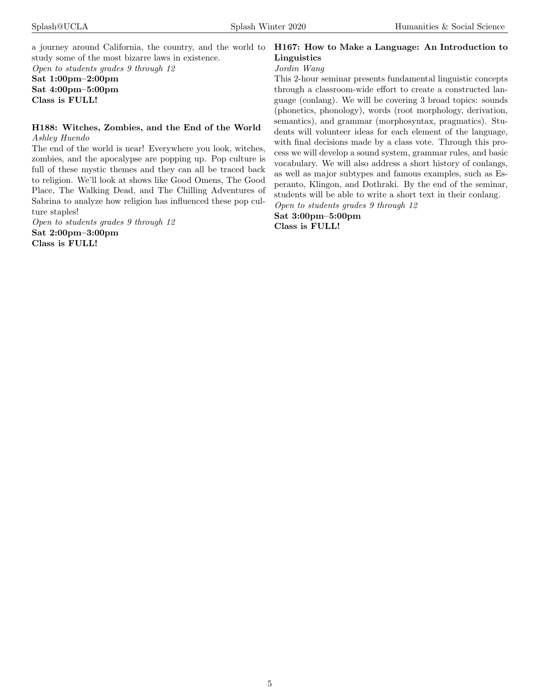a journey around California, the country, and the world to study some of the most bizarre laws in existence.

Open to students grades 9 through 12 Sat 1:00pm–2:00pm Sat 4:00pm–5:00pm Class is FULL!

# H188: Witches, Zombies, and the End of the World Ashley Huendo

The end of the world is near! Everywhere you look, witches, zombies, and the apocalypse are popping up. Pop culture is full of these mystic themes and they can all be traced back to religion. We'll look at shows like Good Omens, The Good Place, The Walking Dead, and The Chilling Adventures of Sabrina to analyze how religion has influenced these pop culture staples!

Open to students grades 9 through 12 Sat 2:00pm–3:00pm Class is FULL!

# H167: How to Make a Language: An Introduction to Linguistics

# Jordin Wang

This 2-hour seminar presents fundamental linguistic concepts through a classroom-wide effort to create a constructed language (conlang). We will be covering 3 broad topics: sounds (phonetics, phonology), words (root morphology, derivation, semantics), and grammar (morphosyntax, pragmatics). Students will volunteer ideas for each element of the language, with final decisions made by a class vote. Through this process we will develop a sound system, grammar rules, and basic vocabulary. We will also address a short history of conlangs, as well as major subtypes and famous examples, such as Esperanto, Klingon, and Dothraki. By the end of the seminar, students will be able to write a short text in their conlang.

Open to students grades 9 through 12

Sat 3:00pm–5:00pm Class is FULL!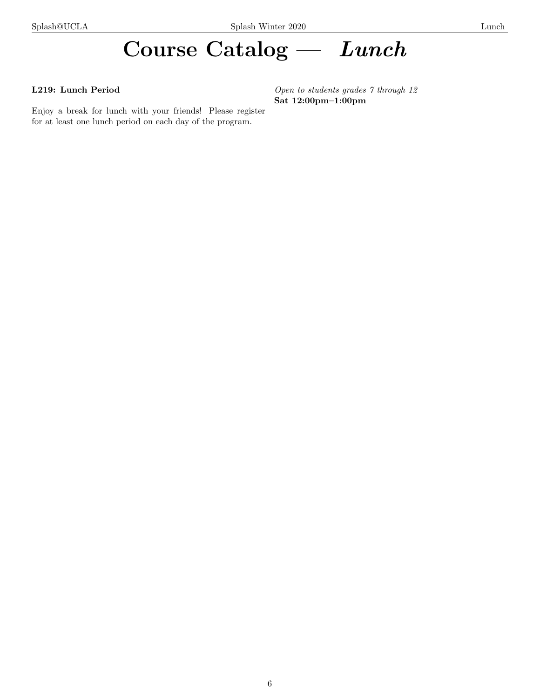# Course Catalog — Lunch

# L219: Lunch Period

Enjoy a break for lunch with your friends! Please register for at least one lunch period on each day of the program.

Open to students grades 7 through 12 Sat 12:00pm–1:00pm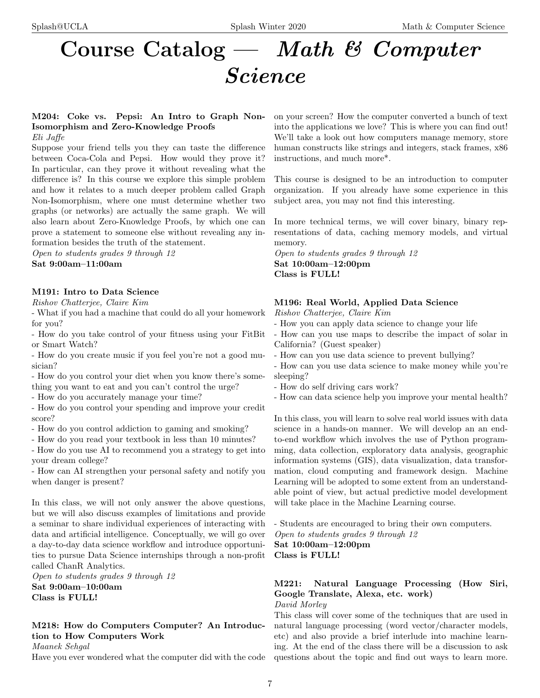# Course Catalog — Math & Computer Science

M204: Coke vs. Pepsi: An Intro to Graph Non-Isomorphism and Zero-Knowledge Proofs Eli Jaffe

Suppose your friend tells you they can taste the difference between Coca-Cola and Pepsi. How would they prove it? In particular, can they prove it without revealing what the difference is? In this course we explore this simple problem and how it relates to a much deeper problem called Graph Non-Isomorphism, where one must determine whether two graphs (or networks) are actually the same graph. We will also learn about Zero-Knowledge Proofs, by which one can prove a statement to someone else without revealing any information besides the truth of the statement.

Open to students grades 9 through 12 Sat 9:00am–11:00am

# M191: Intro to Data Science

Rishov Chatterjee, Claire Kim

- What if you had a machine that could do all your homework for you?

- How do you take control of your fitness using your FitBit or Smart Watch?

- How do you create music if you feel you're not a good musician?

- How do you control your diet when you know there's something you want to eat and you can't control the urge?

- How do you accurately manage your time?

- How do you control your spending and improve your credit score?

- How do you control addiction to gaming and smoking?

- How do you read your textbook in less than 10 minutes?

- How do you use AI to recommend you a strategy to get into your dream college?

- How can AI strengthen your personal safety and notify you when danger is present?

In this class, we will not only answer the above questions, but we will also discuss examples of limitations and provide a seminar to share individual experiences of interacting with data and artificial intelligence. Conceptually, we will go over a day-to-day data science workflow and introduce opportunities to pursue Data Science internships through a non-profit called ChanR Analytics.

Open to students grades 9 through 12 Sat 9:00am–10:00am Class is FULL!

M218: How do Computers Computer? An Introduction to How Computers Work

Maanek Sehaal

Have you ever wondered what the computer did with the code

on your screen? How the computer converted a bunch of text into the applications we love? This is where you can find out! We'll take a look out how computers manage memory, store human constructs like strings and integers, stack frames,  $x86$ instructions, and much more\*.

This course is designed to be an introduction to computer organization. If you already have some experience in this subject area, you may not find this interesting.

In more technical terms, we will cover binary, binary representations of data, caching memory models, and virtual memory.

Open to students grades 9 through 12 Sat 10:00am–12:00pm Class is FULL!

# M196: Real World, Applied Data Science

Rishov Chatterjee, Claire Kim

- How you can apply data science to change your life
- How can you use maps to describe the impact of solar in California? (Guest speaker)
- How can you use data science to prevent bullying?

- How can you use data science to make money while you're sleeping?

- How do self driving cars work?

- How can data science help you improve your mental health?

In this class, you will learn to solve real world issues with data science in a hands-on manner. We will develop an an endto-end workflow which involves the use of Python programming, data collection, exploratory data analysis, geographic information systems (GIS), data visualization, data transformation, cloud computing and framework design. Machine Learning will be adopted to some extent from an understandable point of view, but actual predictive model development will take place in the Machine Learning course.

- Students are encouraged to bring their own computers. Open to students grades 9 through 12

Sat 10:00am–12:00pm

Class is FULL!

# M221: Natural Language Processing (How Siri, Google Translate, Alexa, etc. work)

David Morley

This class will cover some of the techniques that are used in natural language processing (word vector/character models, etc) and also provide a brief interlude into machine learning. At the end of the class there will be a discussion to ask questions about the topic and find out ways to learn more.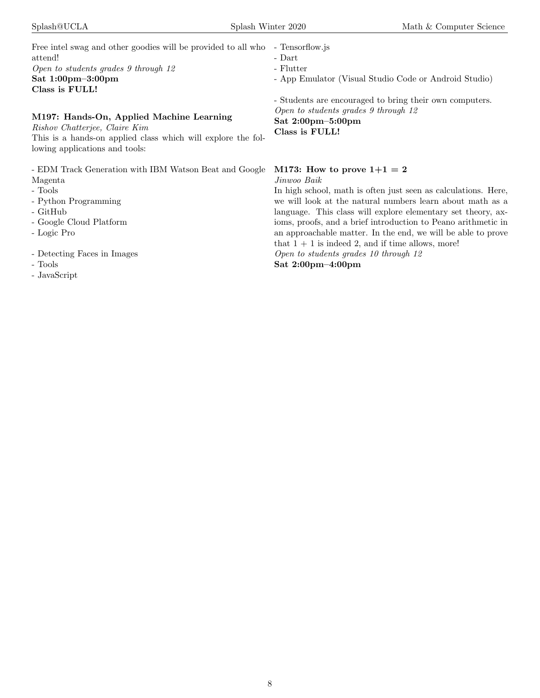| Free intel swag and other goodies will be provided to all who |
|---------------------------------------------------------------|
| attend!                                                       |
| Open to students grades 9 through 12                          |
| Sat $1:00 \text{pm} - 3:00 \text{pm}$                         |
| Class is FULL!                                                |

# M197: Hands-On, Applied Machine Learning

Rishov Chatterjee, Claire Kim This is a hands-on applied class which will explore the following applications and tools:

- EDM Track Generation with IBM Watson Beat and Google Magenta

- Tools
- Python Programming
- GitHub
- Google Cloud Platform
- Logic Pro
- Detecting Faces in Images
- Tools
- JavaScript

# - Tensorflow.js

- Flutter
- App Emulator (Visual Studio Code or Android Studio)

- Students are encouraged to bring their own computers. Open to students grades 9 through 12 Sat 2:00pm–5:00pm Class is FULL!

# M173: How to prove  $1+1 = 2$

Jinwoo Baik

In high school, math is often just seen as calculations. Here, we will look at the natural numbers learn about math as a language. This class will explore elementary set theory, axioms, proofs, and a brief introduction to Peano arithmetic in an approachable matter. In the end, we will be able to prove that  $1 + 1$  is indeed 2, and if time allows, more!

Open to students grades 10 through 12

Sat 2:00pm–4:00pm

<sup>-</sup> Dart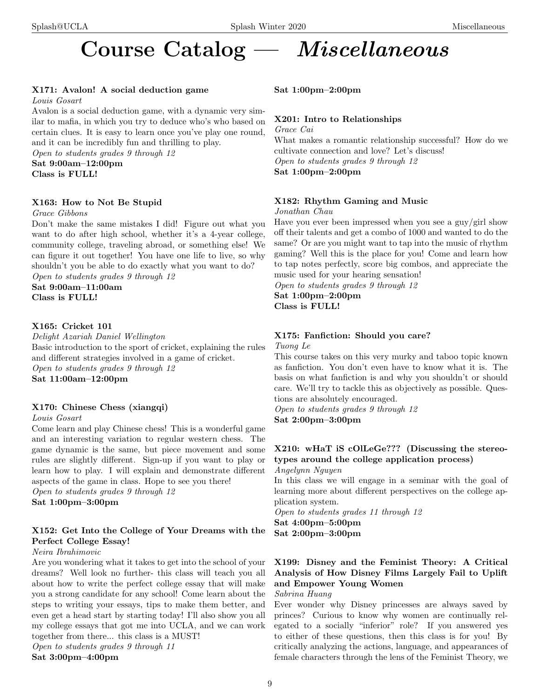# Course Catalog — Miscellaneous

# X171: Avalon! A social deduction game

Louis Gosart

Avalon is a social deduction game, with a dynamic very similar to mafia, in which you try to deduce who's who based on certain clues. It is easy to learn once you've play one round, and it can be incredibly fun and thrilling to play.

Open to students grades 9 through 12

Sat 9:00am–12:00pm Class is FULL!

# X163: How to Not Be Stupid

Grace Gibbons

Don't make the same mistakes I did! Figure out what you want to do after high school, whether it's a 4-year college, community college, traveling abroad, or something else! We can figure it out together! You have one life to live, so why shouldn't you be able to do exactly what you want to do? Open to students grades 9 through 12

Sat 9:00am–11:00am Class is FULL!

## X165: Cricket 101

Delight Azariah Daniel Wellington Basic introduction to the sport of cricket, explaining the rules and different strategies involved in a game of cricket. Open to students grades 9 through 12 Sat 11:00am–12:00pm

# X170: Chinese Chess (xiangqi)

Louis Gosart

Come learn and play Chinese chess! This is a wonderful game and an interesting variation to regular western chess. The game dynamic is the same, but piece movement and some rules are slightly different. Sign-up if you want to play or learn how to play. I will explain and demonstrate different aspects of the game in class. Hope to see you there! Open to students grades 9 through 12

Sat 1:00pm–3:00pm

# X152: Get Into the College of Your Dreams with the Perfect College Essay!

Neira Ibrahimovic

Are you wondering what it takes to get into the school of your dreams? Well look no further- this class will teach you all about how to write the perfect college essay that will make you a strong candidate for any school! Come learn about the steps to writing your essays, tips to make them better, and even get a head start by starting today! I'll also show you all my college essays that got me into UCLA, and we can work together from there... this class is a MUST!

Open to students grades 9 through 11 Sat 3:00pm–4:00pm

Sat 1:00pm–2:00pm

# X201: Intro to Relationships

Grace Cai What makes a romantic relationship successful? How do we cultivate connection and love? Let's discuss! Open to students grades 9 through 12 Sat 1:00pm–2:00pm

# X182: Rhythm Gaming and Music

Jonathan Chau

Have you ever been impressed when you see a guy/girl show off their talents and get a combo of 1000 and wanted to do the same? Or are you might want to tap into the music of rhythm gaming? Well this is the place for you! Come and learn how to tap notes perfectly, score big combos, and appreciate the music used for your hearing sensation!

Open to students grades 9 through 12 Sat 1:00pm–2:00pm Class is FULL!

# X175: Fanfiction: Should you care? Tuong Le

This course takes on this very murky and taboo topic known as fanfiction. You don't even have to know what it is. The basis on what fanfiction is and why you shouldn't or should care. We'll try to tackle this as objectively as possible. Questions are absolutely encouraged.

Open to students grades 9 through 12 Sat 2:00pm–3:00pm

# X210: wHaT iS cOlLeGe??? (Discussing the stereotypes around the college application process)

Angelynn Nguyen

In this class we will engage in a seminar with the goal of learning more about different perspectives on the college application system.

Open to students grades 11 through 12 Sat 4:00pm–5:00pm Sat 2:00pm–3:00pm

# X199: Disney and the Feminist Theory: A Critical Analysis of How Disney Films Largely Fail to Uplift and Empower Young Women

Sabrina Huang

Ever wonder why Disney princesses are always saved by princes? Curious to know why women are continually relegated to a socially "inferior" role? If you answered yes to either of these questions, then this class is for you! By critically analyzing the actions, language, and appearances of female characters through the lens of the Feminist Theory, we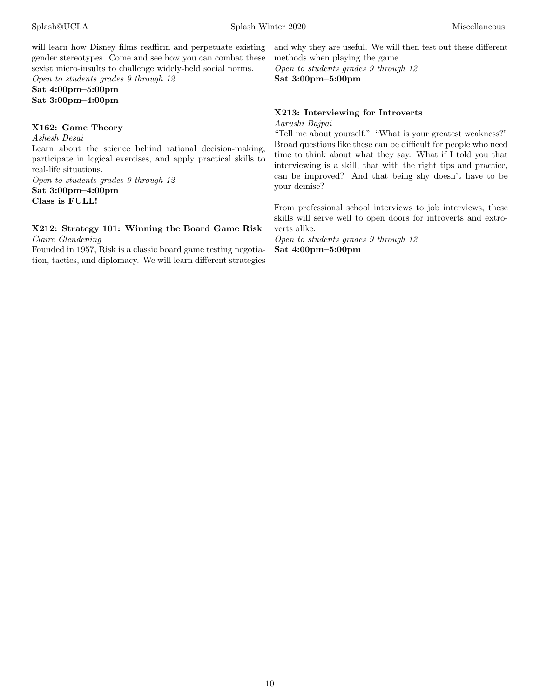will learn how Disney films reaffirm and perpetuate existing gender stereotypes. Come and see how you can combat these sexist micro-insults to challenge widely-held social norms. Open to students grades 9 through 12

Sat 4:00pm–5:00pm Sat 3:00pm–4:00pm

### X162: Game Theory

Ashesh Desai Learn about the science behind rational decision-making, participate in logical exercises, and apply practical skills to real-life situations.

Open to students grades 9 through 12 Sat 3:00pm–4:00pm Class is FULL!

# X212: Strategy 101: Winning the Board Game Risk

Claire Glendening

Founded in 1957, Risk is a classic board game testing negotiation, tactics, and diplomacy. We will learn different strategies and why they are useful. We will then test out these different methods when playing the game.

Open to students grades 9 through 12 Sat 3:00pm–5:00pm

# X213: Interviewing for Introverts

Aarushi Bajpai

"Tell me about yourself." "What is your greatest weakness?" Broad questions like these can be difficult for people who need time to think about what they say. What if I told you that interviewing is a skill, that with the right tips and practice, can be improved? And that being shy doesn't have to be your demise?

From professional school interviews to job interviews, these skills will serve well to open doors for introverts and extroverts alike.

Open to students grades 9 through 12 Sat 4:00pm–5:00pm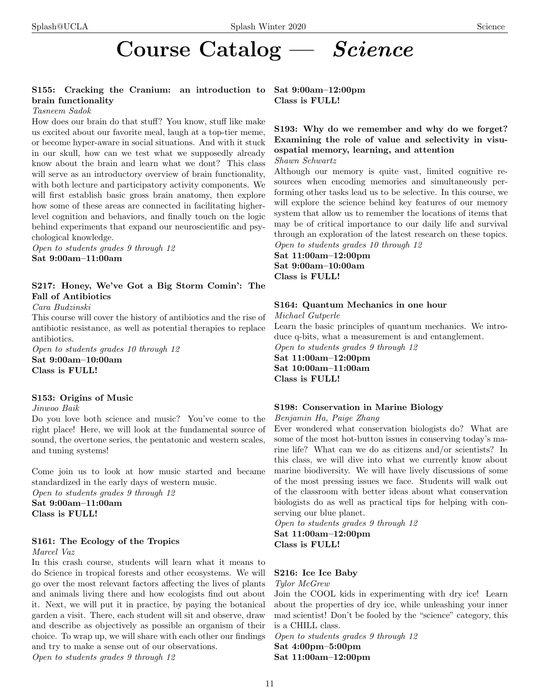# Course Catalog — Science

# S155: Cracking the Cranium: an introduction to Sat 9:00am–12:00pm brain functionality

### Tasneem Sadok

How does our brain do that stuff? You know, stuff like make us excited about our favorite meal, laugh at a top-tier meme, or become hyper-aware in social situations. And with it stuck in our skull, how can we test what we supposedly already know about the brain and learn what we dont? This class will serve as an introductory overview of brain functionality, with both lecture and participatory activity components. We will first establish basic gross brain anatomy, then explore how some of these areas are connected in facilitating higherlevel cognition and behaviors, and finally touch on the logic behind experiments that expand our neuroscientific and psychological knowledge.

Open to students grades 9 through 12 Sat 9:00am–11:00am

# S217: Honey, We've Got a Big Storm Comin': The Fall of Antibiotics

Cara Budzinski

This course will cover the history of antibiotics and the rise of antibiotic resistance, as well as potential therapies to replace antibiotics.

Open to students grades 10 through 12 Sat 9:00am–10:00am Class is FULL!

### S153: Origins of Music

Jinwoo Baik

Do you love both science and music? You've come to the right place! Here, we will look at the fundamental source of sound, the overtone series, the pentatonic and western scales, and tuning systems!

Come join us to look at how music started and became standardized in the early days of western music. Open to students grades 9 through 12 Sat 9:00am–11:00am Class is FULL!

## S161: The Ecology of the Tropics

Marcel Vaz

In this crash course, students will learn what it means to do Science in tropical forests and other ecosystems. We will go over the most relevant factors affecting the lives of plants and animals living there and how ecologists find out about it. Next, we will put it in practice, by paying the botanical garden a visit. There, each student will sit and observe, draw and describe as objectively as possible an organism of their choice. To wrap up, we will share with each other our findings and try to make a sense out of our observations.

Open to students grades 9 through 12

Class is FULL!

# S193: Why do we remember and why do we forget? Examining the role of value and selectivity in visuospatial memory, learning, and attention

Shawn Schwartz

Although our memory is quite vast, limited cognitive resources when encoding memories and simultaneously performing other tasks lead us to be selective. In this course, we will explore the science behind key features of our memory system that allow us to remember the locations of items that may be of critical importance to our daily life and survival through an exploration of the latest research on these topics. Open to students grades 10 through 12

Sat 11:00am–12:00pm Sat 9:00am–10:00am Class is FULL!

# S164: Quantum Mechanics in one hour

Michael Gutperle

Learn the basic principles of quantum mechanics. We introduce q-bits, what a measurement is and entanglement. Open to students grades 9 through 12

Sat 11:00am–12:00pm Sat 10:00am–11:00am Class is FULL!

# S198: Conservation in Marine Biology

Benjamin Ha, Paige Zhang

Ever wondered what conservation biologists do? What are some of the most hot-button issues in conserving today's marine life? What can we do as citizens and/or scientists? In this class, we will dive into what we currently know about marine biodiversity. We will have lively discussions of some of the most pressing issues we face. Students will walk out of the classroom with better ideas about what conservation biologists do as well as practical tips for helping with conserving our blue planet.

Open to students grades 9 through 12 Sat 11:00am–12:00pm Class is FULL!

## S216: Ice Ice Baby

Tylor McGrew

Join the COOL kids in experimenting with dry ice! Learn about the properties of dry ice, while unleashing your inner mad scientist! Don't be fooled by the "science" category, this is a CHILL class.

Open to students grades 9 through 12 Sat 4:00pm–5:00pm Sat 11:00am–12:00pm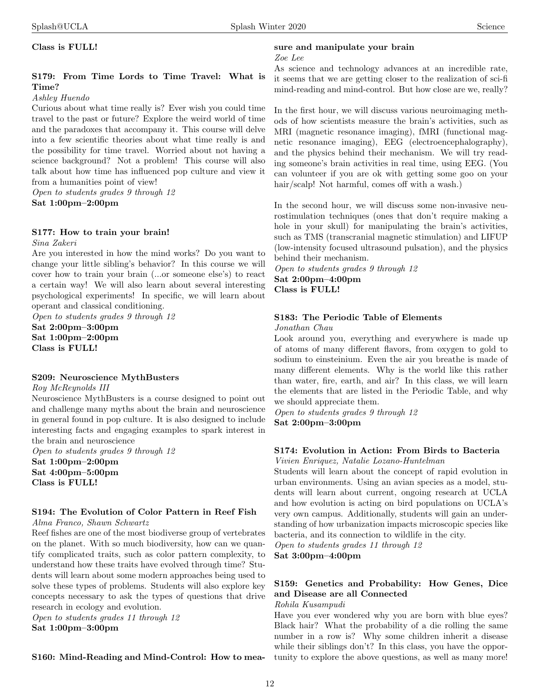Class is FULL!

# S179: From Time Lords to Time Travel: What is Time?

### Ashley Huendo

Curious about what time really is? Ever wish you could time travel to the past or future? Explore the weird world of time and the paradoxes that accompany it. This course will delve into a few scientific theories about what time really is and the possibility for time travel. Worried about not having a science background? Not a problem! This course will also talk about how time has influenced pop culture and view it from a humanities point of view!

Open to students grades 9 through 12 Sat 1:00pm–2:00pm

# S177: How to train your brain!

Sina Zakeri

Are you interested in how the mind works? Do you want to change your little sibling's behavior? In this course we will cover how to train your brain (...or someone else's) to react a certain way! We will also learn about several interesting psychological experiments! In specific, we will learn about operant and classical conditioning.

Open to students grades 9 through 12 Sat 2:00pm–3:00pm Sat 1:00pm–2:00pm Class is FULL!

### S209: Neuroscience MythBusters

Roy McReynolds III

Neuroscience MythBusters is a course designed to point out and challenge many myths about the brain and neuroscience in general found in pop culture. It is also designed to include interesting facts and engaging examples to spark interest in the brain and neuroscience

Open to students grades 9 through 12 Sat 1:00pm–2:00pm Sat 4:00pm–5:00pm Class is FULL!

### S194: The Evolution of Color Pattern in Reef Fish Alma Franco, Shawn Schwartz

Reef fishes are one of the most biodiverse group of vertebrates on the planet. With so much biodiversity, how can we quantify complicated traits, such as color pattern complexity, to understand how these traits have evolved through time? Students will learn about some modern approaches being used to solve these types of problems. Students will also explore key concepts necessary to ask the types of questions that drive research in ecology and evolution.

Open to students grades 11 through 12 Sat 1:00pm–3:00pm

S160: Mind-Reading and Mind-Control: How to mea-

# sure and manipulate your brain

#### Zoe Lee

As science and technology advances at an incredible rate, it seems that we are getting closer to the realization of sci-fi mind-reading and mind-control. But how close are we, really?

In the first hour, we will discuss various neuroimaging methods of how scientists measure the brain's activities, such as MRI (magnetic resonance imaging), fMRI (functional magnetic resonance imaging), EEG (electroencephalography), and the physics behind their mechanism. We will try reading someone's brain activities in real time, using EEG. (You can volunteer if you are ok with getting some goo on your hair/scalp! Not harmful, comes off with a wash.)

In the second hour, we will discuss some non-invasive neurostimulation techniques (ones that don't require making a hole in your skull) for manipulating the brain's activities, such as TMS (transcranial magnetic stimulation) and LIFUP (low-intensity focused ultrasound pulsation), and the physics behind their mechanism.

Open to students grades 9 through 12

Sat 2:00pm–4:00pm Class is FULL!

# S183: The Periodic Table of Elements

Jonathan Chau

Look around you, everything and everywhere is made up of atoms of many different flavors, from oxygen to gold to sodium to einsteinium. Even the air you breathe is made of many different elements. Why is the world like this rather than water, fire, earth, and air? In this class, we will learn the elements that are listed in the Periodic Table, and why we should appreciate them.

Open to students grades 9 through 12 Sat 2:00pm–3:00pm

# S174: Evolution in Action: From Birds to Bacteria

Vivien Enriquez, Natalie Lozano-Huntelman

Students will learn about the concept of rapid evolution in urban environments. Using an avian species as a model, students will learn about current, ongoing research at UCLA and how evolution is acting on bird populations on UCLA's very own campus. Additionally, students will gain an understanding of how urbanization impacts microscopic species like bacteria, and its connection to wildlife in the city.

Open to students grades 11 through 12 Sat 3:00pm–4:00pm

# S159: Genetics and Probability: How Genes, Dice and Disease are all Connected

Rohila Kusampudi

Have you ever wondered why you are born with blue eyes? Black hair? What the probability of a die rolling the same number in a row is? Why some children inherit a disease while their siblings don't? In this class, you have the opportunity to explore the above questions, as well as many more!